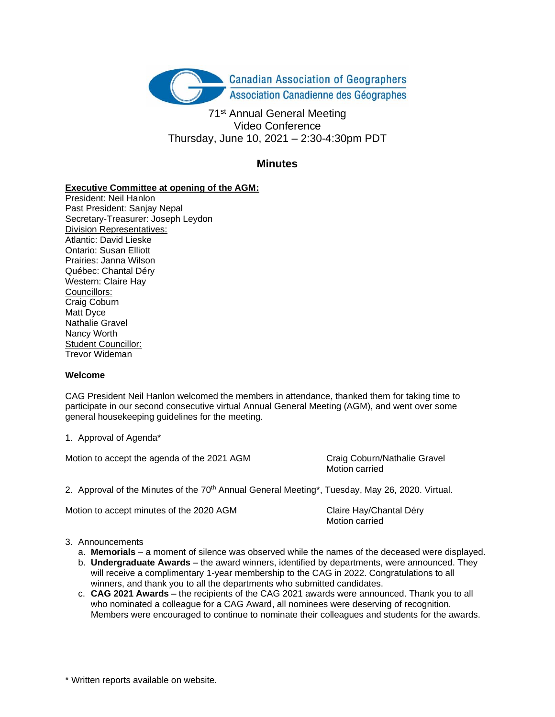

71<sup>st</sup> Annual General Meeting Video Conference Thursday, June 10, 2021 – 2:30-4:30pm PDT

# **Minutes**

### **Executive Committee at opening of the AGM:**

President: Neil Hanlon Past President: Sanjay Nepal Secretary-Treasurer: Joseph Leydon Division Representatives: Atlantic: David Lieske Ontario: Susan Elliott Prairies: Janna Wilson Québec: Chantal Déry Western: Claire Hay Councillors: Craig Coburn Matt Dyce Nathalie Gravel Nancy Worth Student Councillor: Trevor Wideman

#### **Welcome**

CAG President Neil Hanlon welcomed the members in attendance, thanked them for taking time to participate in our second consecutive virtual Annual General Meeting (AGM), and went over some general housekeeping guidelines for the meeting.

1. Approval of Agenda\*

Motion to accept the agenda of the 2021 AGM Craig Coburn/Nathalie Gravel

Motion carried

2. Approval of the Minutes of the  $70<sup>th</sup>$  Annual General Meeting\*, Tuesday, May 26, 2020. Virtual.

Motion to accept minutes of the 2020 AGM Claire Hay/Chantal Déry

Motion carried

#### 3. Announcements

- a. **Memorials** a moment of silence was observed while the names of the deceased were displayed.
- b. **Undergraduate Awards** the award winners, identified by departments, were announced. They will receive a complimentary 1-year membership to the CAG in 2022. Congratulations to all winners, and thank you to all the departments who submitted candidates.
- c. **CAG 2021 Awards** the recipients of the CAG 2021 awards were announced. Thank you to all who nominated a colleague for a CAG Award, all nominees were deserving of recognition. Members were encouraged to continue to nominate their colleagues and students for the awards.

\* Written reports available on website.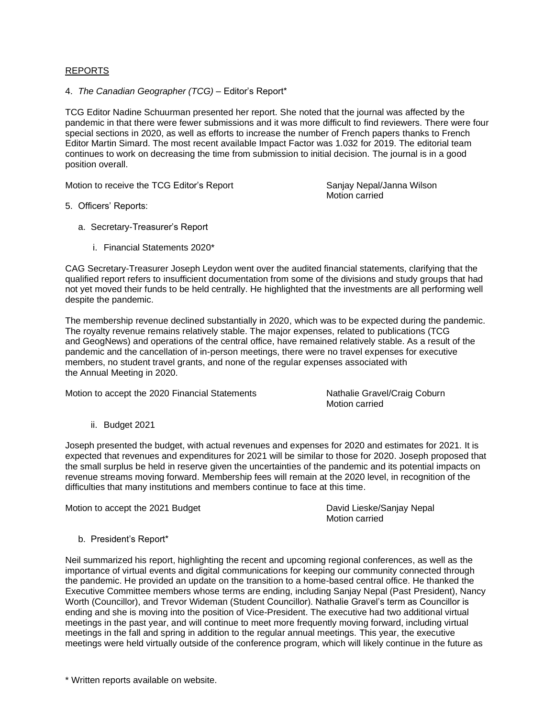#### REPORTS

4. *The Canadian Geographer (TCG)* – Editor's Report\*

TCG Editor Nadine Schuurman presented her report. She noted that the journal was affected by the pandemic in that there were fewer submissions and it was more difficult to find reviewers. There were four special sections in 2020, as well as efforts to increase the number of French papers thanks to French Editor Martin Simard. The most recent available Impact Factor was 1.032 for 2019. The editorial team continues to work on decreasing the time from submission to initial decision. The journal is in a good position overall.

Motion to receive the TCG Editor's Report Sanjay Nepal/Janna Wilson

Motion carried

- 5. Officers' Reports:
	- a. Secretary-Treasurer's Report
		- i. Financial Statements 2020\*

CAG Secretary-Treasurer Joseph Leydon went over the audited financial statements, clarifying that the qualified report refers to insufficient documentation from some of the divisions and study groups that had not yet moved their funds to be held centrally. He highlighted that the investments are all performing well despite the pandemic.

The membership revenue declined substantially in 2020, which was to be expected during the pandemic. The royalty revenue remains relatively stable. The major expenses, related to publications (TCG and GeogNews) and operations of the central office, have remained relatively stable. As a result of the pandemic and the cancellation of in-person meetings, there were no travel expenses for executive members, no student travel grants, and none of the regular expenses associated with the Annual Meeting in 2020.

Motion to accept the 2020 Financial Statements Nathalie Gravel/Craig Coburn

Motion carried

ii. Budget 2021

Joseph presented the budget, with actual revenues and expenses for 2020 and estimates for 2021. It is expected that revenues and expenditures for 2021 will be similar to those for 2020. Joseph proposed that the small surplus be held in reserve given the uncertainties of the pandemic and its potential impacts on revenue streams moving forward. Membership fees will remain at the 2020 level, in recognition of the difficulties that many institutions and members continue to face at this time.

Motion to accept the 2021 Budget **David Lieske/Sanjay Nepal** 

Motion carried

b. President's Report\*

Neil summarized his report, highlighting the recent and upcoming regional conferences, as well as the importance of virtual events and digital communications for keeping our community connected through the pandemic. He provided an update on the transition to a home-based central office. He thanked the Executive Committee members whose terms are ending, including Sanjay Nepal (Past President), Nancy Worth (Councillor), and Trevor Wideman (Student Councillor). Nathalie Gravel's term as Councillor is ending and she is moving into the position of Vice-President. The executive had two additional virtual meetings in the past year, and will continue to meet more frequently moving forward, including virtual meetings in the fall and spring in addition to the regular annual meetings. This year, the executive meetings were held virtually outside of the conference program, which will likely continue in the future as

\* Written reports available on website.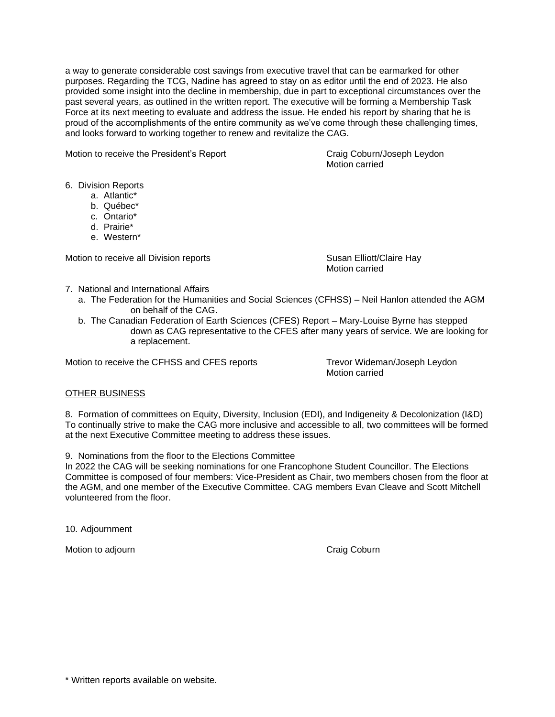a way to generate considerable cost savings from executive travel that can be earmarked for other purposes. Regarding the TCG, Nadine has agreed to stay on as editor until the end of 2023. He also provided some insight into the decline in membership, due in part to exceptional circumstances over the past several years, as outlined in the written report. The executive will be forming a Membership Task Force at its next meeting to evaluate and address the issue. He ended his report by sharing that he is proud of the accomplishments of the entire community as we've come through these challenging times, and looks forward to working together to renew and revitalize the CAG.

Motion to receive the President's Report Craig Coburn/Joseph Leydon

Motion carried

6. Division Reports

- a. Atlantic\*
- b. Québec\*
- c. Ontario\*
- d. Prairie\*
- e. Western\*

Motion to receive all Division reports **Susan Elliott/Claire Hay** 

Motion carried

- 7. National and International Affairs
	- a. The Federation for the Humanities and Social Sciences (CFHSS) Neil Hanlon attended the AGM on behalf of the CAG.
	- b. The Canadian Federation of Earth Sciences (CFES) Report Mary-Louise Byrne has stepped down as CAG representative to the CFES after many years of service. We are looking for a replacement.

Motion to receive the CFHSS and CFES reports Trevor Wideman/Joseph Leydon

Motion carried

## OTHER BUSINESS

8. Formation of committees on Equity, Diversity, Inclusion (EDI), and Indigeneity & Decolonization (I&D) To continually strive to make the CAG more inclusive and accessible to all, two committees will be formed at the next Executive Committee meeting to address these issues.

9. Nominations from the floor to the Elections Committee

In 2022 the CAG will be seeking nominations for one Francophone Student Councillor. The Elections Committee is composed of four members: Vice-President as Chair, two members chosen from the floor at the AGM, and one member of the Executive Committee. CAG members Evan Cleave and Scott Mitchell volunteered from the floor.

10. Adjournment

Motion to adjourn **Craig Coburn** Craig Coburn **Craig Coburn** 

\* Written reports available on website.